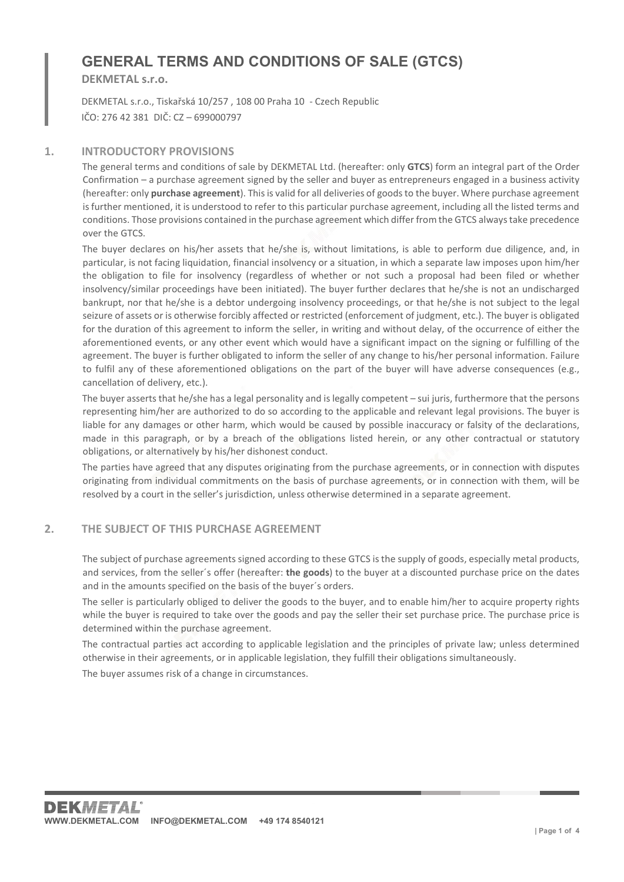# GENERAL TERMS AND CONDITIONS OF SALE (GTCS)

DEKMETAL s.r.o.

DEKMETAL s.r.o., Tiskařská 10/257 , 108 00 Praha 10 - Czech Republic IČO: 276 42 381 DIČ: CZ – 699000797

#### 1. INTRODUCTORY PROVISIONS

The general terms and conditions of sale by DEKMETAL Ltd. (hereafter: only GTCS) form an integral part of the Order Confirmation – a purchase agreement signed by the seller and buyer as entrepreneurs engaged in a business activity (hereafter: only purchase agreement). This is valid for all deliveries of goods to the buyer. Where purchase agreement is further mentioned, it is understood to refer to this particular purchase agreement, including all the listed terms and conditions. Those provisions contained in the purchase agreement which differ from the GTCS always take precedence over the GTCS.

The buyer declares on his/her assets that he/she is, without limitations, is able to perform due diligence, and, in particular, is not facing liquidation, financial insolvency or a situation, in which a separate law imposes upon him/her the obligation to file for insolvency (regardless of whether or not such a proposal had been filed or whether insolvency/similar proceedings have been initiated). The buyer further declares that he/she is not an undischarged bankrupt, nor that he/she is a debtor undergoing insolvency proceedings, or that he/she is not subject to the legal seizure of assets or is otherwise forcibly affected or restricted (enforcement of judgment, etc.). The buyer is obligated for the duration of this agreement to inform the seller, in writing and without delay, of the occurrence of either the aforementioned events, or any other event which would have a significant impact on the signing or fulfilling of the agreement. The buyer is further obligated to inform the seller of any change to his/her personal information. Failure to fulfil any of these aforementioned obligations on the part of the buyer will have adverse consequences (e.g., cancellation of delivery, etc.).

The buyer asserts that he/she has a legal personality and is legally competent – sui juris, furthermore that the persons representing him/her are authorized to do so according to the applicable and relevant legal provisions. The buyer is liable for any damages or other harm, which would be caused by possible inaccuracy or falsity of the declarations, made in this paragraph, or by a breach of the obligations listed herein, or any other contractual or statutory obligations, or alternatively by his/her dishonest conduct.

The parties have agreed that any disputes originating from the purchase agreements, or in connection with disputes originating from individual commitments on the basis of purchase agreements, or in connection with them, will be resolved by a court in the seller's jurisdiction, unless otherwise determined in a separate agreement.

### 2. THE SUBJECT OF THIS PURCHASE AGREEMENT

The subject of purchase agreements signed according to these GTCS is the supply of goods, especially metal products, and services, from the seller's offer (hereafter: the goods) to the buyer at a discounted purchase price on the dates and in the amounts specified on the basis of the buyer´s orders.

The seller is particularly obliged to deliver the goods to the buyer, and to enable him/her to acquire property rights while the buyer is required to take over the goods and pay the seller their set purchase price. The purchase price is determined within the purchase agreement.

The contractual parties act according to applicable legislation and the principles of private law; unless determined otherwise in their agreements, or in applicable legislation, they fulfill their obligations simultaneously.

The buyer assumes risk of a change in circumstances.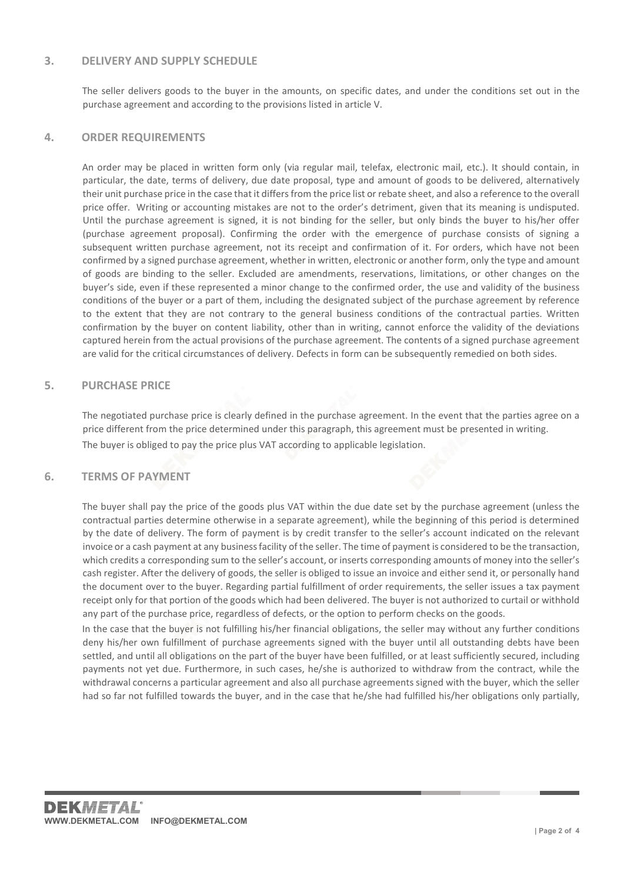### 3. DELIVERY AND SUPPLY SCHEDULE

The seller delivers goods to the buyer in the amounts, on specific dates, and under the conditions set out in the purchase agreement and according to the provisions listed in article V.

### 4. ORDER REQUIREMENTS

An order may be placed in written form only (via regular mail, telefax, electronic mail, etc.). It should contain, in particular, the date, terms of delivery, due date proposal, type and amount of goods to be delivered, alternatively their unit purchase price in the case that it differs from the price list or rebate sheet, and also a reference to the overall price offer. Writing or accounting mistakes are not to the order's detriment, given that its meaning is undisputed. Until the purchase agreement is signed, it is not binding for the seller, but only binds the buyer to his/her offer (purchase agreement proposal). Confirming the order with the emergence of purchase consists of signing a subsequent written purchase agreement, not its receipt and confirmation of it. For orders, which have not been confirmed by a signed purchase agreement, whether in written, electronic or another form, only the type and amount of goods are binding to the seller. Excluded are amendments, reservations, limitations, or other changes on the buyer's side, even if these represented a minor change to the confirmed order, the use and validity of the business conditions of the buyer or a part of them, including the designated subject of the purchase agreement by reference to the extent that they are not contrary to the general business conditions of the contractual parties. Written confirmation by the buyer on content liability, other than in writing, cannot enforce the validity of the deviations captured herein from the actual provisions of the purchase agreement. The contents of a signed purchase agreement are valid for the critical circumstances of delivery. Defects in form can be subsequently remedied on both sides.

### 5. PURCHASE PRICE

The negotiated purchase price is clearly defined in the purchase agreement. In the event that the parties agree on a price different from the price determined under this paragraph, this agreement must be presented in writing. The buyer is obliged to pay the price plus VAT according to applicable legislation.

### 6. TERMS OF PAYMENT

The buyer shall pay the price of the goods plus VAT within the due date set by the purchase agreement (unless the contractual parties determine otherwise in a separate agreement), while the beginning of this period is determined by the date of delivery. The form of payment is by credit transfer to the seller's account indicated on the relevant invoice or a cash payment at any business facility of the seller. The time of payment is considered to be the transaction, which credits a corresponding sum to the seller's account, or inserts corresponding amounts of money into the seller's cash register. After the delivery of goods, the seller is obliged to issue an invoice and either send it, or personally hand the document over to the buyer. Regarding partial fulfillment of order requirements, the seller issues a tax payment receipt only for that portion of the goods which had been delivered. The buyer is not authorized to curtail or withhold any part of the purchase price, regardless of defects, or the option to perform checks on the goods.

In the case that the buyer is not fulfilling his/her financial obligations, the seller may without any further conditions deny his/her own fulfillment of purchase agreements signed with the buyer until all outstanding debts have been settled, and until all obligations on the part of the buyer have been fulfilled, or at least sufficiently secured, including payments not yet due. Furthermore, in such cases, he/she is authorized to withdraw from the contract, while the withdrawal concerns a particular agreement and also all purchase agreements signed with the buyer, which the seller had so far not fulfilled towards the buyer, and in the case that he/she had fulfilled his/her obligations only partially,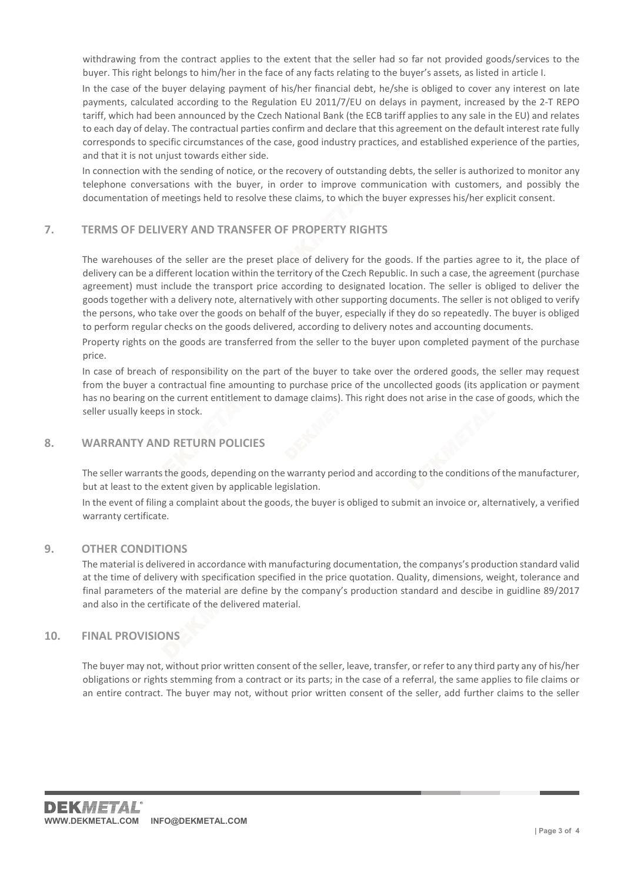withdrawing from the contract applies to the extent that the seller had so far not provided goods/services to the buyer. This right belongs to him/her in the face of any facts relating to the buyer's assets, as listed in article I.

In the case of the buyer delaying payment of his/her financial debt, he/she is obliged to cover any interest on late payments, calculated according to the Regulation EU 2011/7/EU on delays in payment, increased by the 2-T REPO tariff, which had been announced by the Czech National Bank (the ECB tariff applies to any sale in the EU) and relates to each day of delay. The contractual parties confirm and declare that this agreement on the default interest rate fully corresponds to specific circumstances of the case, good industry practices, and established experience of the parties, and that it is not unjust towards either side.

In connection with the sending of notice, or the recovery of outstanding debts, the seller is authorized to monitor any telephone conversations with the buyer, in order to improve communication with customers, and possibly the documentation of meetings held to resolve these claims, to which the buyer expresses his/her explicit consent.

## 7. TERMS OF DELIVERY AND TRANSFER OF PROPERTY RIGHTS

The warehouses of the seller are the preset place of delivery for the goods. If the parties agree to it, the place of delivery can be a different location within the territory of the Czech Republic. In such a case, the agreement (purchase agreement) must include the transport price according to designated location. The seller is obliged to deliver the goods together with a delivery note, alternatively with other supporting documents. The seller is not obliged to verify the persons, who take over the goods on behalf of the buyer, especially if they do so repeatedly. The buyer is obliged to perform regular checks on the goods delivered, according to delivery notes and accounting documents.

Property rights on the goods are transferred from the seller to the buyer upon completed payment of the purchase price.

In case of breach of responsibility on the part of the buyer to take over the ordered goods, the seller may request from the buyer a contractual fine amounting to purchase price of the uncollected goods (its application or payment has no bearing on the current entitlement to damage claims). This right does not arise in the case of goods, which the seller usually keeps in stock.

### 8. WARRANTY AND RETURN POLICIES

The seller warrants the goods, depending on the warranty period and according to the conditions of the manufacturer, but at least to the extent given by applicable legislation.

In the event of filing a complaint about the goods, the buyer is obliged to submit an invoice or, alternatively, a verified warranty certificate.

### 9. OTHER CONDITIONS

The material is delivered in accordance with manufacturing documentation, the companys's production standard valid at the time of delivery with specification specified in the price quotation. Quality, dimensions, weight, tolerance and final parameters of the material are define by the company's production standard and descibe in guidline 89/2017 and also in the certificate of the delivered material.

### 10. FINAL PROVISIONS

The buyer may not, without prior written consent of the seller, leave, transfer, or refer to any third party any of his/her obligations or rights stemming from a contract or its parts; in the case of a referral, the same applies to file claims or an entire contract. The buyer may not, without prior written consent of the seller, add further claims to the seller